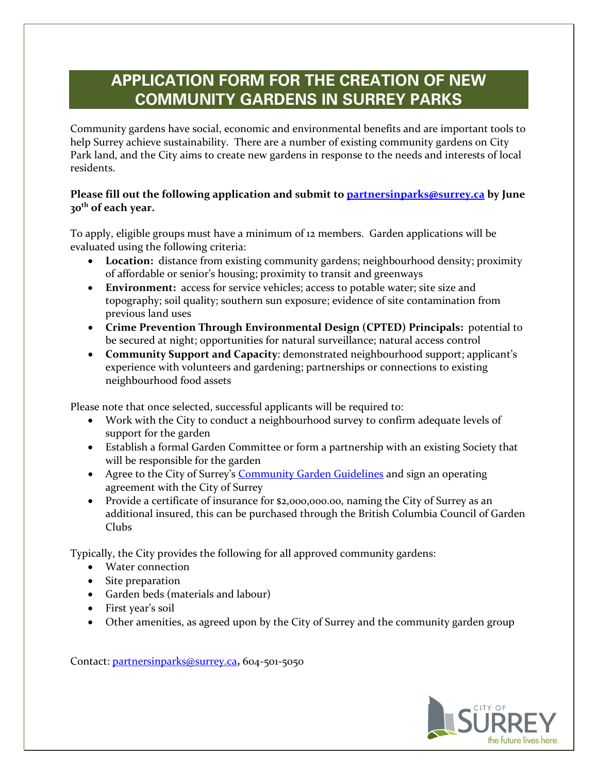## **APPLICATION FORM FOR THE CREATION OF NEW COMMUNITY GARDENS IN SURREY PARKS**

Community gardens have social, economic and environmental benefits and are important tools to help Surrey achieve sustainability. There are a number of existing community gardens on City Park land, and the City aims to create new gardens in response to the needs and interests of local residents.

## **Please fill out the following application and submit to [partnersinparks@surrey.ca](mailto:partnersinparks@surrey.ca) by June 30th of each year.**

To apply, eligible groups must have a minimum of 12 members. Garden applications will be evaluated using the following criteria:

- **Location:** distance from existing community gardens; neighbourhood density; proximity of affordable or senior's housing; proximity to transit and greenways
- **Environment:** access for service vehicles; access to potable water; site size and topography; soil quality; southern sun exposure; evidence of site contamination from previous land uses
- **Crime Prevention Through Environmental Design (CPTED) Principals:** potential to be secured at night; opportunities for natural surveillance; natural access control
- **Community Support and Capacity**: demonstrated neighbourhood support; applicant's experience with volunteers and gardening; partnerships or connections to existing neighbourhood food assets

Please note that once selected, successful applicants will be required to:

- Work with the City to conduct a neighbourhood survey to confirm adequate levels of support for the garden
- Establish a formal Garden Committee or form a partnership with an existing Society that will be responsible for the garden
- Agree to the City of Surrey's [Community Garden Guidelines](http://cms.surrey.ca/CMS/ImageCache/7C7F148841F04CBEAD2A38F6D338AD0B/5AF6F926D2704C98AEEA411B0F2BA5EF/CO/COS_Community_Garden_Guidelines.pdf) and sign an operating agreement with the City of Surrey
- Provide a certificate of insurance for \$2,000,000.00, naming the City of Surrey as an additional insured, this can be purchased through the British Columbia Council of Garden Clubs

Typically, the City provides the following for all approved community gardens:

- Water connection
- Site preparation
- Garden beds (materials and labour)
- First year's soil
- Other amenities, as agreed upon by the City of Surrey and the community garden group

Contact: [partnersinparks@surrey.ca](mailto:parksrecculture@surrey.ca)**,** 604-501-5050

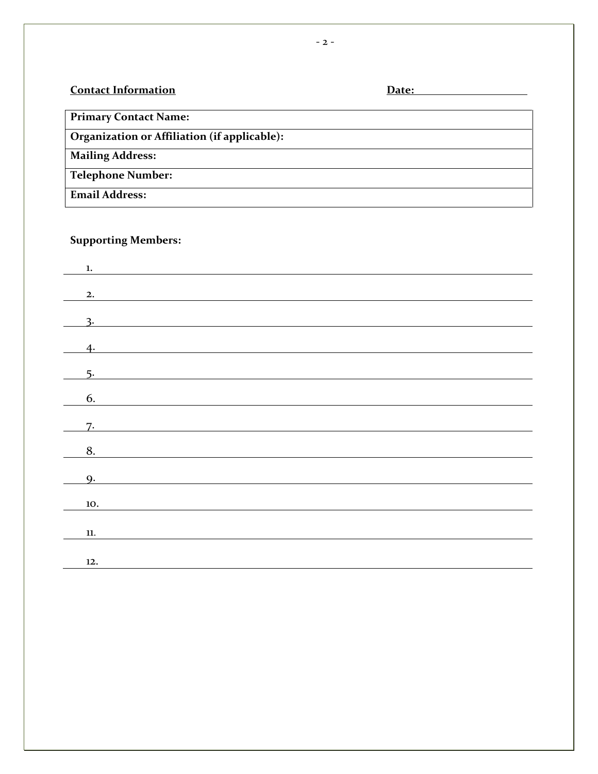## **Contact Information Contact Information**

**Primary Contact Name:** 

**Organization or Affiliation (if applicable):**

**Mailing Address:**

**Telephone Number:**

**Email Address:** 

## **Supporting Members:**

| $\mathbf{1}$ .              |  |  |  |
|-----------------------------|--|--|--|
|                             |  |  |  |
| 2.                          |  |  |  |
|                             |  |  |  |
| $\frac{3}{2}$               |  |  |  |
| 4.                          |  |  |  |
|                             |  |  |  |
| 5.                          |  |  |  |
| 6.                          |  |  |  |
|                             |  |  |  |
| 7.                          |  |  |  |
| 8.                          |  |  |  |
|                             |  |  |  |
| $\overline{\phantom{0}}$ 9. |  |  |  |
|                             |  |  |  |
| 10.                         |  |  |  |
|                             |  |  |  |
| 11.                         |  |  |  |
|                             |  |  |  |
| 12.                         |  |  |  |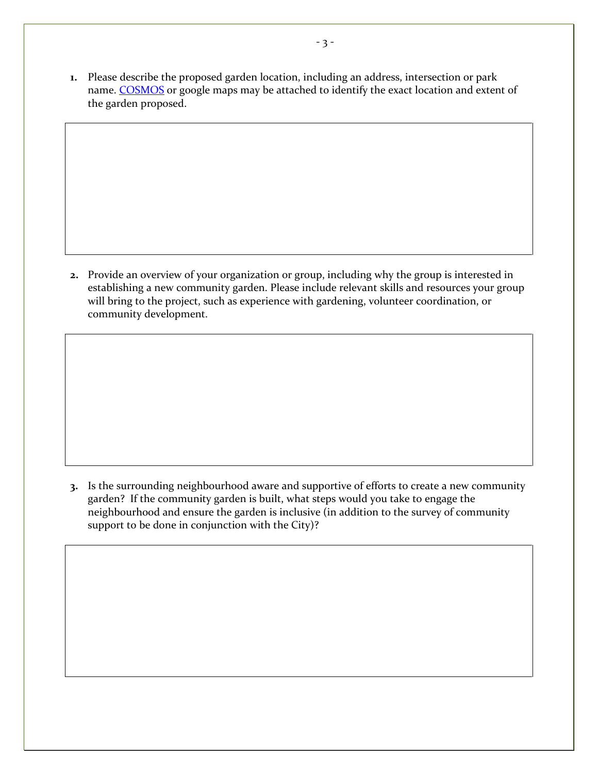**1.** Please describe the proposed garden location, including an address, intersection or park name. [COSMOS](http://cosmos.surrey.ca/external/) or google maps may be attached to identify the exact location and extent of the garden proposed.

**2.** Provide an overview of your organization or group, including why the group is interested in establishing a new community garden. Please include relevant skills and resources your group will bring to the project, such as experience with gardening, volunteer coordination, or community development.

**3.** Is the surrounding neighbourhood aware and supportive of efforts to create a new community garden? If the community garden is built, what steps would you take to engage the neighbourhood and ensure the garden is inclusive (in addition to the survey of community support to be done in conjunction with the City)?